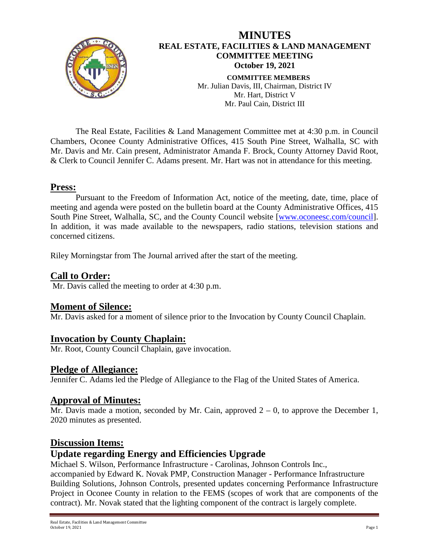

The Real Estate, Facilities & Land Management Committee met at 4:30 p.m. in Council Chambers, Oconee County Administrative Offices, 415 South Pine Street, Walhalla, SC with Mr. Davis and Mr. Cain present, Administrator Amanda F. Brock, County Attorney David Root, & Clerk to Council Jennifer C. Adams present. Mr. Hart was not in attendance for this meeting.

#### **Press:**

Pursuant to the Freedom of Information Act, notice of the meeting, date, time, place of meeting and agenda were posted on the bulletin board at the County Administrative Offices, 415 South Pine Street, Walhalla, SC, and the County Council website [\[www.oconeesc.com/council\]](http://www.oconeesc.com/council). In addition, it was made available to the newspapers, radio stations, television stations and concerned citizens.

Riley Morningstar from The Journal arrived after the start of the meeting.

### **Call to Order:**

Mr. Davis called the meeting to order at 4:30 p.m.

#### **Moment of Silence:**

Mr. Davis asked for a moment of silence prior to the Invocation by County Council Chaplain.

#### **Invocation by County Chaplain:**

Mr. Root, County Council Chaplain, gave invocation.

#### **Pledge of Allegiance:**

Jennifer C. Adams led the Pledge of Allegiance to the Flag of the United States of America.

## **Approval of Minutes:**

Mr. Davis made a motion, seconded by Mr. Cain, approved  $2 - 0$ , to approve the December 1, 2020 minutes as presented.

#### **Discussion Items:**

## **Update regarding Energy and Efficiencies Upgrade**

Michael S. Wilson, Performance Infrastructure - Carolinas, Johnson Controls Inc.,

accompanied by Edward K. Novak PMP, Construction Manager - Performance Infrastructure Building Solutions, Johnson Controls, presented updates concerning Performance Infrastructure Project in Oconee County in relation to the FEMS (scopes of work that are components of the contract). Mr. Novak stated that the lighting component of the contract is largely complete.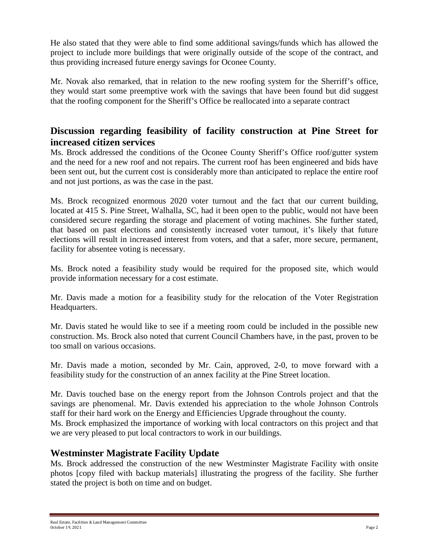He also stated that they were able to find some additional savings/funds which has allowed the project to include more buildings that were originally outside of the scope of the contract, and thus providing increased future energy savings for Oconee County.

Mr. Novak also remarked, that in relation to the new roofing system for the Sherriff's office, they would start some preemptive work with the savings that have been found but did suggest that the roofing component for the Sheriff's Office be reallocated into a separate contract

# **Discussion regarding feasibility of facility construction at Pine Street for increased citizen services**

Ms. Brock addressed the conditions of the Oconee County Sheriff's Office roof/gutter system and the need for a new roof and not repairs. The current roof has been engineered and bids have been sent out, but the current cost is considerably more than anticipated to replace the entire roof and not just portions, as was the case in the past.

Ms. Brock recognized enormous 2020 voter turnout and the fact that our current building, located at 415 S. Pine Street, Walhalla, SC, had it been open to the public, would not have been considered secure regarding the storage and placement of voting machines. She further stated, that based on past elections and consistently increased voter turnout, it's likely that future elections will result in increased interest from voters, and that a safer, more secure, permanent, facility for absentee voting is necessary.

Ms. Brock noted a feasibility study would be required for the proposed site, which would provide information necessary for a cost estimate.

Mr. Davis made a motion for a feasibility study for the relocation of the Voter Registration Headquarters.

Mr. Davis stated he would like to see if a meeting room could be included in the possible new construction. Ms. Brock also noted that current Council Chambers have, in the past, proven to be too small on various occasions.

Mr. Davis made a motion, seconded by Mr. Cain, approved, 2-0, to move forward with a feasibility study for the construction of an annex facility at the Pine Street location.

Mr. Davis touched base on the energy report from the Johnson Controls project and that the savings are phenomenal. Mr. Davis extended his appreciation to the whole Johnson Controls staff for their hard work on the Energy and Efficiencies Upgrade throughout the county.

Ms. Brock emphasized the importance of working with local contractors on this project and that we are very pleased to put local contractors to work in our buildings.

# **Westminster Magistrate Facility Update**

Ms. Brock addressed the construction of the new Westminster Magistrate Facility with onsite photos [copy filed with backup materials] illustrating the progress of the facility. She further stated the project is both on time and on budget.